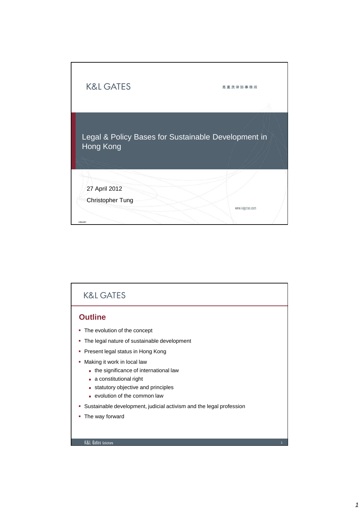

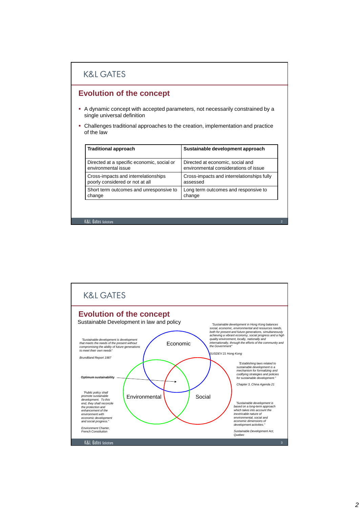### **K&L GATES**

### **Evolution of the concept**

- A dynamic concept with accepted parameters, not necessarily constrained by a single universal definition
- Challenges traditional approaches to the creation, implementation and practice of the law

| <b>Traditional approach</b>                | Sustainable development approach           |
|--------------------------------------------|--------------------------------------------|
| Directed at a specific economic, social or | Directed at economic, social and           |
| environmental issue                        | environmental considerations of issue      |
| Cross-impacts and interrelationships       | Cross-impacts and interrelationships fully |
| poorly considered or not at all            | assessed                                   |
| Short term outcomes and unresponsive to    | Long term outcomes and responsive to       |
| change                                     | change                                     |

2

#### **K&L Gates Solicitors**

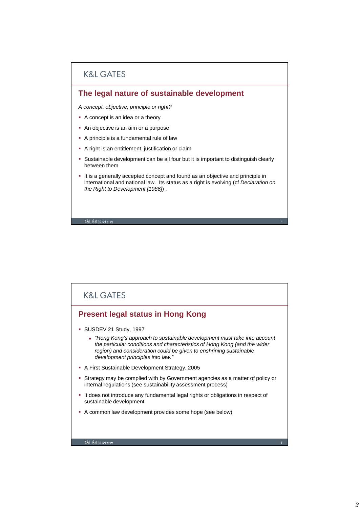

## **K&L GATES Present legal status in Hong Kong** SUSDEV 21 Study, 1997 - "Hong Kong's approach to sustainable development must take into account the particular conditions and characteristics of Hong Kong (and the wider region) and consideration could be given to enshrining sustainable development principles into law." A First Sustainable Development Strategy, 2005 Strategy may be complied with by Government agencies as a matter of policy or internal regulations (see sustainability assessment process) It does not introduce any fundamental legal rights or obligations in respect of sustainable development A common law development provides some hope (see below)K&L Gates Solicitors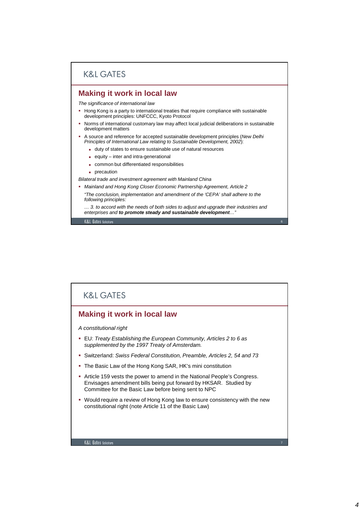## **K&L GATES**

#### **Making it work in local law**

The significance of international law

- Hong Kong is a party to international treaties that require compliance with sustainable development principles: UNFCCC, Kyoto Protocol
- Norms of international customary law may affect local judicial deliberations in sustainable development matters
- A source and reference for accepted sustainable development principles (New Delhi Principles of International Law relating to Sustainable Development, 2002):
	- duty of states to ensure sustainable use of natural resources
	- equity inter and intra-generational
	- common but differentiated responsibilities
	- **precaution**

Bilateral trade and investment agreement with Mainland China

- Mainland and Hong Kong Closer Economic Partnership Agreement, Article 2
	- "The conclusion, implementation and amendment of the 'CEPA' shall adhere to the following principles:
	- … 3. to accord with the needs of both sides to adjust and upgrade their industries and enterprises and **to promote steady and sustainable development**…"

6

K&L Gates Solicit

## **K&L GATES Making it work in local law** A constitutional right **EU: Treaty Establishing the European Community, Articles 2 to 6 as** supplemented by the 1997 Treaty of Amsterdam. Switzerland: Swiss Federal Constitution, Preamble, Articles 2, 54 and 73 The Basic Law of the Hong Kong SAR, HK's mini constitution Article 159 vests the power to amend in the National People's Congress. Envisages amendment bills being put forward by HKSAR. Studied by Committee for the Basic Law before being sent to NPC Would require a review of Hong Kong law to ensure consistency with the new constitutional right (note Article 11 of the Basic Law)K&I Gates Solicitor 7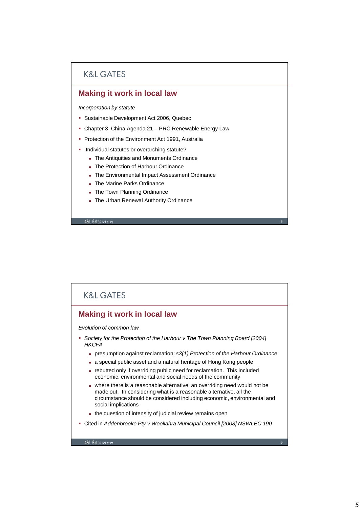## **K&L GATES**

### **Making it work in local law**

Incorporation by statute

- Sustainable Development Act 2006, Quebec
- Chapter 3, China Agenda 21 PRC Renewable Energy Law
- Protection of the Environment Act 1991, Australia
- **Individual statutes or overarching statute?** 
	- The Antiquities and Monuments Ordinance
	- The Protection of Harbour Ordinance
	- The Environmental Impact Assessment Ordinance
	- The Marine Parks Ordinance
	- **The Town Planning Ordinance**
	- The Urban Renewal Authority Ordinance

**K&L Gates Solicitors** 

### **K&L GATES**

### **Making it work in local law**

Evolution of common law

- Society for the Protection of the Harbour v The Town Planning Board [2004] **HKCFA** 
	- **presumption against reclamation: s3(1) Protection of the Harbour Ordinance**

8

- a special public asset and a natural heritage of Hong Kong people
- rebutted only if overriding public need for reclamation. This included economic, environmental and social needs of the community
- where there is a reasonable alternative, an overriding need would not be made out. In considering what is a reasonable alternative, all the circumstance should be considered including economic, environmental and social implications
- the question of intensity of judicial review remains open
- Cited in Addenbrooke Pty v Woollahra Municipal Council [2008] NSWLEC 190

K&I Gates Solicitor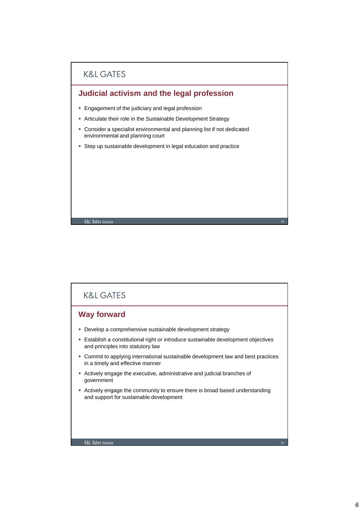

# **K&L GATES Way forward Develop a comprehensive sustainable development strategy**  Establish a constitutional right or introduce sustainable development objectives and principles into statutory law Commit to applying international sustainable development law and best practices in a timely and effective manner Actively engage the executive, administrative and judicial branches of government Actively engage the community to ensure there is broad based understanding and support for sustainable developmentK&L Gates Solicitors